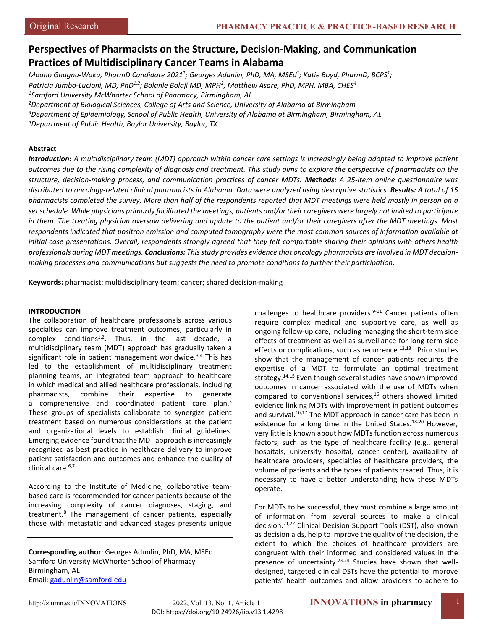# **Perspectives of Pharmacists on the Structure, Decision-Making, and Communication Practices of Multidisciplinary Cancer Teams in Alabama**

*Moano Gnagna-Waka, PharmD Candidate 20211 ; Georges Adunlin, PhD, MA, MSEd1 ; Katie Boyd, PharmD, BCPS1 ; Patricia Jumbo-Lucioni, MD, PhD1,2; Bolanle Bolaji MD, MPH3 ; Matthew Asare, PhD, MPH, MBA, CHES4 1 Samford University McWhorter School of Pharmacy, Birmingham, AL*

*2 Department of Biological Sciences, College of Arts and Science, University of Alabama at Birmingham*

*3 Department of Epidemiology, School of Public Health, University of Alabama at Birmingham, Birmingham, AL*

*4 Department of Public Health, Baylor University, Baylor, TX*

# **Abstract**

*Introduction: A multidisciplinary team (MDT) approach within cancer care settings is increasingly being adopted to improve patient outcomes due to the rising complexity of diagnosis and treatment. This study aims to explore the perspective of pharmacists on the structure, decision-making process, and communication practices of cancer MDTs. Methods: A 25-item online questionnaire was distributed to oncology-related clinical pharmacists in Alabama. Data were analyzed using descriptive statistics. Results: A total of 15 pharmacists completed the survey. More than half of the respondents reported that MDT meetings were held mostly in person on a set schedule. While physicians primarily facilitated the meetings, patients and/or their caregivers were largely not invited to participate in them. The treating physician oversaw delivering and update to the patient and/or their caregivers after the MDT meetings. Most respondents indicated that positron emission and computed tomography were the most common sources of information available at initial case presentations. Overall, respondents strongly agreed that they felt comfortable sharing their opinions with others health professionals during MDT meetings. Conclusions: This study provides evidence that oncology pharmacists are involved in MDT decisionmaking processes and communications but suggests the need to promote conditions to further their participation.*

**Keywords:** pharmacist; multidisciplinary team; cancer; shared decision-making

## **INTRODUCTION**

The collaboration of healthcare professionals across various specialties can improve treatment outcomes, particularly in complex conditions<sup>1,2</sup>. Thus, in the last decade, a multidisciplinary team (MDT) approach has gradually taken a significant role in patient management worldwide.<sup>3,4</sup> This has led to the establishment of multidisciplinary treatment planning teams, an integrated team approach to healthcare in which medical and allied healthcare professionals, including pharmacists, combine their expertise to generate a comprehensive and coordinated patient care plan.<sup>5</sup> These groups of specialists collaborate to synergize patient treatment based on numerous considerations at the patient and organizational levels to establish clinical guidelines. Emerging evidence found that the MDT approach is increasingly recognized as best practice in healthcare delivery to improve patient satisfaction and outcomes and enhance the quality of clinical care.<sup>6,7</sup>

According to the Institute of Medicine, collaborative teambased care is recommended for cancer patients because of the increasing complexity of cancer diagnoses, staging, and treatment.8 The management of cancer patients, especially those with metastatic and advanced stages presents unique

**Corresponding author**: Georges Adunlin, PhD, MA, MSEd Samford University McWhorter School of Pharmacy Birmingham, AL Email: [gadunlin@samford.edu](mailto:gadunlin@samford.edu)

challenges to healthcare providers. $9-11$  Cancer patients often require complex medical and supportive care, as well as ongoing follow-up care, including managing the short-term side effects of treatment as well as surveillance for long-term side effects or complications, such as recurrence  $^{12,13}$ . Prior studies show that the management of cancer patients requires the expertise of a MDT to formulate an optimal treatment strategy.<sup>14,15</sup> Even though several studies have shown improved outcomes in cancer associated with the use of MDTs when compared to conventional services, $16$  others showed limited evidence linking MDTs with improvement in patient outcomes and survival.<sup>16,17</sup> The MDT approach in cancer care has been in existence for a long time in the United States.<sup>18-20</sup> However, very little is known about how MDTs function across numerous factors, such as the type of healthcare facility (e.g., general hospitals, university hospital, cancer center), availability of healthcare providers, specialties of healthcare providers, the volume of patients and the types of patients treated. Thus, it is necessary to have a better understanding how these MDTs operate.

For MDTs to be successful, they must combine a large amount of information from several sources to make a clinical decision.<sup>21,22</sup> Clinical Decision Support Tools (DST), also known as decision aids, help to improve the quality of the decision, the extent to which the choices of healthcare providers are congruent with their informed and considered values in the presence of uncertainty.<sup>23,24</sup> Studies have shown that welldesigned, targeted clinical DSTs have the potential to improve patients' health outcomes and allow providers to adhere to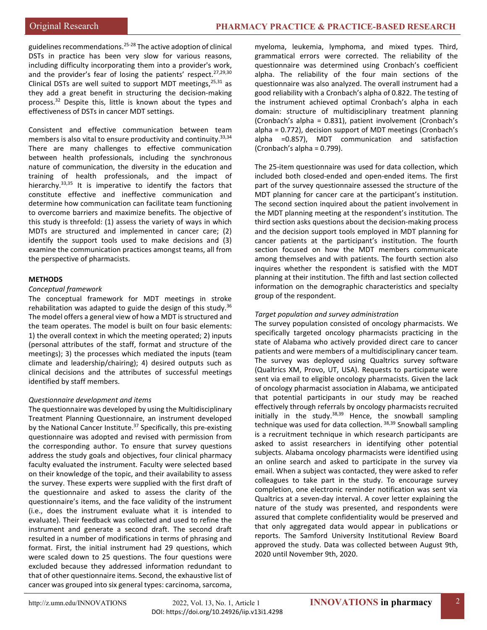guidelines recommendations.<sup>25-28</sup> The active adoption of clinical DSTs in practice has been very slow for various reasons, including difficulty incorporating them into a provider's work, and the provider's fear of losing the patients' respect.<sup>27,29,30</sup> Clinical DSTs are well suited to support MDT meetings,  $25,31$  as they add a great benefit in structuring the decision-making process.<sup>32</sup> Despite this, little is known about the types and effectiveness of DSTs in cancer MDT settings.

Consistent and effective communication between team members is also vital to ensure productivity and continuity.<sup>33,34</sup> There are many challenges to effective communication between health professionals, including the synchronous nature of communication, the diversity in the education and training of health professionals, and the impact of hierarchy.<sup>33,35</sup> It is imperative to identify the factors that constitute effective and ineffective communication and determine how communication can facilitate team functioning to overcome barriers and maximize benefits. The objective of this study is threefold: (1) assess the variety of ways in which MDTs are structured and implemented in cancer care; (2) identify the support tools used to make decisions and (3) examine the communication practices amongst teams, all from the perspective of pharmacists.

# **METHODS**

#### *Conceptual framework*

The conceptual framework for MDT meetings in stroke rehabilitation was adapted to guide the design of this study. $36$ The model offers a general view of how a MDT is structured and the team operates. The model is built on four basic elements: 1) the overall context in which the meeting operated; 2) inputs (personal attributes of the staff, format and structure of the meetings); 3) the processes which mediated the inputs (team climate and leadership/chairing); 4) desired outputs such as clinical decisions and the attributes of successful meetings identified by staff members.

#### *Questionnaire development and items*

The questionnaire was developed by using the Multidisciplinary Treatment Planning Questionnaire, an instrument developed by the National Cancer Institute.<sup>37</sup> Specifically, this pre-existing questionnaire was adopted and revised with permission from the corresponding author. To ensure that survey questions address the study goals and objectives, four clinical pharmacy faculty evaluated the instrument. Faculty were selected based on their knowledge of the topic, and their availability to assess the survey. These experts were supplied with the first draft of the questionnaire and asked to assess the clarity of the questionnaire's items, and the face validity of the instrument (i.e., does the instrument evaluate what it is intended to evaluate). Their feedback was collected and used to refine the instrument and generate a second draft. The second draft resulted in a number of modifications in terms of phrasing and format. First, the initial instrument had 29 questions, which were scaled down to 25 questions. The four questions were excluded because they addressed information redundant to that of other questionnaire items. Second, the exhaustive list of cancer was grouped into six general types: carcinoma, sarcoma,

myeloma, leukemia, lymphoma, and mixed types. Third, grammatical errors were corrected. The reliability of the questionnaire was determined using Cronbach's coefficient alpha. The reliability of the four main sections of the questionnaire was also analyzed. The overall instrument had a good reliability with a Cronbach's alpha of 0.822. The testing of the instrument achieved optimal Cronbach's alpha in each domain: structure of multidisciplinary treatment planning (Cronbach's alpha = 0.831), patient involvement (Cronbach's alpha = 0.772), decision support of MDT meetings (Cronbach's alpha =0.857), MDT communication and satisfaction (Cronbach's alpha = 0.799).

The 25-item questionnaire was used for data collection, which included both closed-ended and open-ended items. The first part of the survey questionnaire assessed the structure of the MDT planning for cancer care at the participant's institution. The second section inquired about the patient involvement in the MDT planning meeting at the respondent's institution. The third section asks questions about the decision-making process and the decision support tools employed in MDT planning for cancer patients at the participant's institution. The fourth section focused on how the MDT members communicate among themselves and with patients. The fourth section also inquires whether the respondent is satisfied with the MDT planning at their institution. The fifth and last section collected information on the demographic characteristics and specialty group of the respondent.

### *Target population and survey administration*

The survey population consisted of oncology pharmacists. We specifically targeted oncology pharmacists practicing in the state of Alabama who actively provided direct care to cancer patients and were members of a multidisciplinary cancer team. The survey was deployed using Qualtrics survey software (Qualtrics XM, Provo, UT, USA). Requests to participate were sent via email to eligible oncology pharmacists. Given the lack of oncology pharmacist association in Alabama, we anticipated that potential participants in our study may be reached effectively through referrals by oncology pharmacists recruited initially in the study. $38,39$  Hence, the snowball sampling technique was used for data collection. 38,39 Snowball sampling is a recruitment technique in which research participants are asked to assist researchers in identifying other potential subjects. Alabama oncology pharmacists were identified using an online search and asked to participate in the survey via email. When a subject was contacted, they were asked to refer colleagues to take part in the study. To encourage survey completion, one electronic reminder notification was sent via Qualtrics at a seven-day interval. A cover letter explaining the nature of the study was presented, and respondents were assured that complete confidentiality would be preserved and that only aggregated data would appear in publications or reports. The Samford University Institutional Review Board approved the study. Data was collected between August 9th, 2020 until November 9th, 2020.

2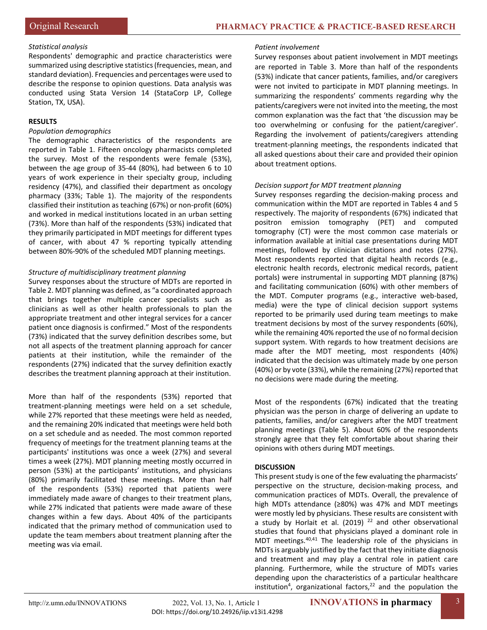# *Statistical analysis*

Respondents' demographic and practice characteristics were summarized using descriptive statistics (frequencies, mean, and standard deviation). Frequencies and percentages were used to describe the response to opinion questions. Data analysis was conducted using Stata Version 14 (StataCorp LP, College Station, TX, USA).

## **RESULTS**

## *Population demographics*

The demographic characteristics of the respondents are reported in Table 1. Fifteen oncology pharmacists completed the survey. Most of the respondents were female (53%), between the age group of 35-44 (80%), had between 6 to 10 years of work experience in their specialty group, including residency (47%), and classified their department as oncology pharmacy (33%; Table 1). The majority of the respondents classified their institution as teaching (67%) or non-profit (60%) and worked in medical institutions located in an urban setting (73%). More than half of the respondents (53%) indicated that they primarily participated in MDT meetings for different types of cancer, with about 47 % reporting typically attending between 80%-90% of the scheduled MDT planning meetings.

## *Structure of multidisciplinary treatment planning*

Survey responses about the structure of MDTs are reported in Table 2. MDT planning was defined, as "a coordinated approach that brings together multiple cancer specialists such as clinicians as well as other health professionals to plan the appropriate treatment and other integral services for a cancer patient once diagnosis is confirmed." Most of the respondents (73%) indicated that the survey definition describes some, but not all aspects of the treatment planning approach for cancer patients at their institution, while the remainder of the respondents (27%) indicated that the survey definition exactly describes the treatment planning approach at their institution.

More than half of the respondents (53%) reported that treatment-planning meetings were held on a set schedule, while 27% reported that these meetings were held as needed, and the remaining 20% indicated that meetings were held both on a set schedule and as needed. The most common reported frequency of meetings for the treatment planning teams at the participants' institutions was once a week (27%) and several times a week (27%). MDT planning meeting mostly occurred in person (53%) at the participants' institutions, and physicians (80%) primarily facilitated these meetings. More than half of the respondents (53%) reported that patients were immediately made aware of changes to their treatment plans, while 27% indicated that patients were made aware of these changes within a few days. About 40% of the participants indicated that the primary method of communication used to update the team members about treatment planning after the meeting was via email.

#### *Patient involvement*

Survey responses about patient involvement in MDT meetings are reported in Table 3. More than half of the respondents (53%) indicate that cancer patients, families, and/or caregivers were not invited to participate in MDT planning meetings. In summarizing the respondents' comments regarding why the patients/caregivers were not invited into the meeting, the most common explanation was the fact that 'the discussion may be too overwhelming or confusing for the patient/caregiver'. Regarding the involvement of patients/caregivers attending treatment-planning meetings, the respondents indicated that all asked questions about their care and provided their opinion about treatment options.

## *Decision support for MDT treatment planning*

Survey responses regarding the decision-making process and communication within the MDT are reported in Tables 4 and 5 respectively. The majority of respondents (67%) indicated that positron emission tomography (PET) and computed tomography (CT) were the most common case materials or information available at initial case presentations during MDT meetings, followed by clinician dictations and notes (27%). Most respondents reported that digital health records (e.g., electronic health records, electronic medical records, patient portals) were instrumental in supporting MDT planning (87%) and facilitating communication (60%) with other members of the MDT. Computer programs (e.g., interactive web-based, media) were the type of clinical decision support systems reported to be primarily used during team meetings to make treatment decisions by most of the survey respondents (60%), while the remaining 40% reported the use of no formal decision support system. With regards to how treatment decisions are made after the MDT meeting, most respondents (40%) indicated that the decision was ultimately made by one person (40%) or by vote (33%), while the remaining (27%) reported that no decisions were made during the meeting.

Most of the respondents (67%) indicated that the treating physician was the person in charge of delivering an update to patients, families, and/or caregivers after the MDT treatment planning meetings (Table 5). About 60% of the respondents strongly agree that they felt comfortable about sharing their opinions with others during MDT meetings.

# **DISCUSSION**

This present study is one of the few evaluating the pharmacists' perspective on the structure, decision-making process, and communication practices of MDTs. Overall, the prevalence of high MDTs attendance (≥80%) was 47% and MDT meetings were mostly led by physicians. These results are consistent with a study by Horlait et al. (2019)  $^{22}$  and other observational studies that found that physicians played a dominant role in MDT meetings.40,41 The leadership role of the physicians in MDTs is arguably justified by the fact that they initiate diagnosis and treatment and may play a central role in patient care planning. Furthermore, while the structure of MDTs varies depending upon the characteristics of a particular healthcare institution<sup>4</sup>, organizational factors,<sup>22</sup> and the population the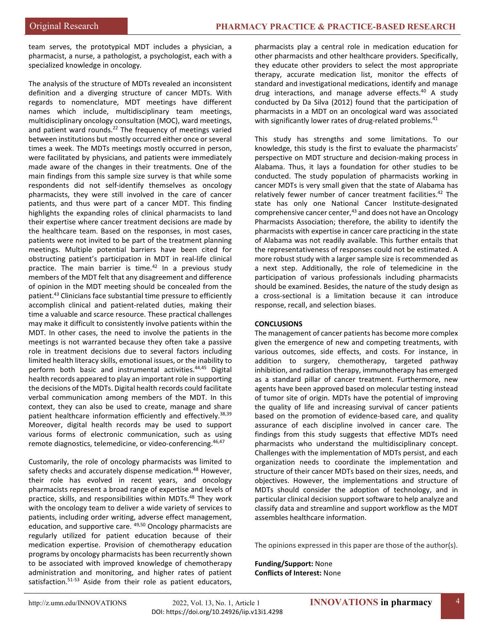team serves, the prototypical MDT includes a physician, a pharmacist, a nurse, a pathologist, a psychologist, each with a specialized knowledge in oncology.

The analysis of the structure of MDTs revealed an inconsistent definition and a diverging structure of cancer MDTs. With regards to nomenclature, MDT meetings have different names which include, multidisciplinary team meetings, multidisciplinary oncology consultation (MOC), ward meetings, and patient ward rounds.<sup>22</sup> The frequency of meetings varied between institutions but mostly occurred either once or several times a week. The MDTs meetings mostly occurred in person, were facilitated by physicians, and patients were immediately made aware of the changes in their treatments. One of the main findings from this sample size survey is that while some respondents did not self-identify themselves as oncology pharmacists, they were still involved in the care of cancer patients, and thus were part of a cancer MDT. This finding highlights the expanding roles of clinical pharmacists to land their expertise where cancer treatment decisions are made by the healthcare team. Based on the responses, in most cases, patients were not invited to be part of the treatment planning meetings. Multiple potential barriers have been cited for obstructing patient's participation in MDT in real-life clinical practice. The main barrier is time.<sup>42</sup> In a previous study members of the MDT felt that any disagreement and difference of opinion in the MDT meeting should be concealed from the patient.43 Clinicians face substantial time pressure to efficiently accomplish clinical and patient-related duties, making their time a valuable and scarce resource. These practical challenges may make it difficult to consistently involve patients within the MDT. In other cases, the need to involve the patients in the meetings is not warranted because they often take a passive role in treatment decisions due to several factors including limited health literacy skills, emotional issues, or the inability to perform both basic and instrumental activities.<sup>44,45</sup> Digital health records appeared to play an important role in supporting the decisions of the MDTs. Digital health records could facilitate verbal communication among members of the MDT. In this context, they can also be used to create, manage and share patient healthcare information efficiently and effectively.<sup>38,39</sup> Moreover, digital health records may be used to support various forms of electronic communication, such as using remote diagnostics, telemedicine, or video-conferencing. 46,47

Customarily, the role of oncology pharmacists was limited to safety checks and accurately dispense medication.<sup>48</sup> However, their role has evolved in recent years, and oncology pharmacists represent a broad range of expertise and levels of practice, skills, and responsibilities within MDTs.48 They work with the oncology team to deliver a wide variety of services to patients, including order writing, adverse effect management, education, and supportive care. <sup>49,50</sup> Oncology pharmacists are regularly utilized for patient education because of their medication expertise. Provision of chemotherapy education programs by oncology pharmacists has been recurrently shown to be associated with improved knowledge of chemotherapy administration and monitoring, and higher rates of patient satisfaction.<sup>51-53</sup> Aside from their role as patient educators, pharmacists play a central role in medication education for other pharmacists and other healthcare providers. Specifically, they educate other providers to select the most appropriate therapy, accurate medication list, monitor the effects of standard and investigational medications, identify and manage drug interactions, and manage adverse effects.<sup>40</sup> A study conducted by Da Silva (2012) found that the participation of pharmacists in a MDT on an oncological ward was associated with significantly lower rates of drug-related problems.<sup>41</sup>

This study has strengths and some limitations. To our knowledge, this study is the first to evaluate the pharmacists' perspective on MDT structure and decision-making process in Alabama. Thus, it lays a foundation for other studies to be conducted. The study population of pharmacists working in cancer MDTs is very small given that the state of Alabama has relatively fewer number of cancer treatment facilities.<sup>42</sup> The state has only one National Cancer Institute-designated comprehensive cancer center, <sup>43</sup> and does not have an Oncology Pharmacists Association; therefore, the ability to identify the pharmacists with expertise in cancer care practicing in the state of Alabama was not readily available. This further entails that the representativeness of responses could not be estimated. A more robust study with a larger sample size is recommended as a next step. Additionally, the role of telemedicine in the participation of various professionals including pharmacists should be examined. Besides, the nature of the study design as a cross-sectional is a limitation because it can introduce response, recall, and selection biases.

# **CONCLUSIONS**

The management of cancer patients has become more complex given the emergence of new and competing treatments, with various outcomes, side effects, and costs. For instance, in addition to surgery, chemotherapy, targeted pathway inhibition, and radiation therapy, immunotherapy has emerged as a standard pillar of cancer treatment. Furthermore, new agents have been approved based on molecular testing instead of tumor site of origin. MDTs have the potential of improving the quality of life and increasing survival of cancer patients based on the promotion of evidence-based care, and quality assurance of each discipline involved in cancer care. The findings from this study suggests that effective MDTs need pharmacists who understand the multidisciplinary concept. Challenges with the implementation of MDTs persist, and each organization needs to coordinate the implementation and structure of their cancer MDTs based on their sizes, needs, and objectives. However, the implementations and structure of MDTs should consider the adoption of technology, and in particular clinical decision support software to help analyze and classify data and streamline and support workflow as the MDT assembles healthcare information.

The opinions expressed in this paper are those of the author(s).

**Funding/Support:** None **Conflicts of Interest:** None

4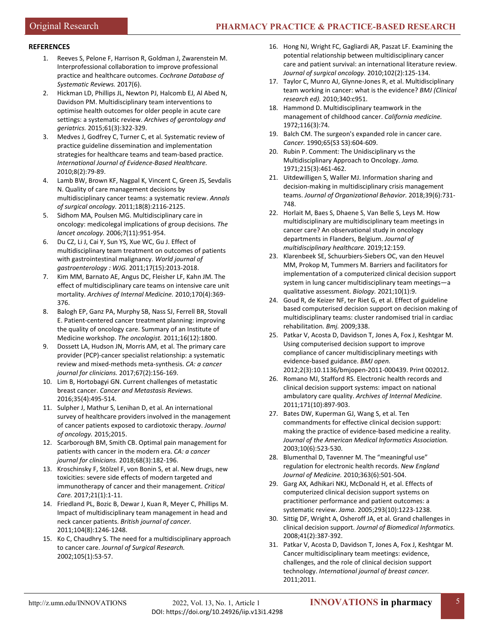## **REFERENCES**

- 1. Reeves S, Pelone F, Harrison R, Goldman J, Zwarenstein M. Interprofessional collaboration to improve professional practice and healthcare outcomes. *Cochrane Database of Systematic Reviews.* 2017(6).
- 2. Hickman LD, Phillips JL, Newton PJ, Halcomb EJ, Al Abed N, Davidson PM. Multidisciplinary team interventions to optimise health outcomes for older people in acute care settings: a systematic review. *Archives of gerontology and geriatrics.* 2015;61(3):322-329.
- 3. Medves J, Godfrey C, Turner C, et al. Systematic review of practice guideline dissemination and implementation strategies for healthcare teams and team-based practice. *International Journal of Evidence-Based Healthcare.*  2010;8(2):79-89.
- 4. Lamb BW, Brown KF, Nagpal K, Vincent C, Green JS, Sevdalis N. Quality of care management decisions by multidisciplinary cancer teams: a systematic review. *Annals of surgical oncology.* 2011;18(8):2116-2125.
- 5. Sidhom MA, Poulsen MG. Multidisciplinary care in oncology: medicolegal implications of group decisions. *The lancet oncology.* 2006;7(11):951-954.
- 6. Du CZ, Li J, Cai Y, Sun YS, Xue WC, Gu J. Effect of multidisciplinary team treatment on outcomes of patients with gastrointestinal malignancy. *World journal of gastroenterology : WJG.* 2011;17(15):2013-2018.
- 7. Kim MM, Barnato AE, Angus DC, Fleisher LF, Kahn JM. The effect of multidisciplinary care teams on intensive care unit mortality. *Archives of Internal Medicine.* 2010;170(4):369- 376.
- 8. Balogh EP, Ganz PA, Murphy SB, Nass SJ, Ferrell BR, Stovall E. Patient-centered cancer treatment planning: improving the quality of oncology care. Summary of an Institute of Medicine workshop. *The oncologist.* 2011;16(12):1800.
- 9. Dossett LA, Hudson JN, Morris AM, et al. The primary care provider (PCP)-cancer specialist relationship: a systematic review and mixed-methods meta-synthesis. *CA: a cancer journal for clinicians.* 2017;67(2):156-169.
- 10. Lim B, Hortobagyi GN. Current challenges of metastatic breast cancer. *Cancer and Metastasis Reviews.*  2016;35(4):495-514.
- 11. Sulpher J, Mathur S, Lenihan D, et al. An international survey of healthcare providers involved in the management of cancer patients exposed to cardiotoxic therapy. *Journal of oncology.* 2015;2015.
- 12. Scarborough BM, Smith CB. Optimal pain management for patients with cancer in the modern era. *CA: a cancer journal for clinicians.* 2018;68(3):182-196.
- 13. Kroschinsky F, Stölzel F, von Bonin S, et al. New drugs, new toxicities: severe side effects of modern targeted and immunotherapy of cancer and their management. *Critical Care.* 2017;21(1):1-11.
- 14. Friedland PL, Bozic B, Dewar J, Kuan R, Meyer C, Phillips M. Impact of multidisciplinary team management in head and neck cancer patients. *British journal of cancer.*  2011;104(8):1246-1248.
- 15. Ko C, Chaudhry S. The need for a multidisciplinary approach to cancer care. *Journal of Surgical Research.*  2002;105(1):53-57.
- 16. Hong NJ, Wright FC, Gagliardi AR, Paszat LF. Examining the potential relationship between multidisciplinary cancer care and patient survival: an international literature review. *Journal of surgical oncology.* 2010;102(2):125-134.
- 17. Taylor C, Munro AJ, Glynne-Jones R, et al. Multidisciplinary team working in cancer: what is the evidence? *BMJ (Clinical research ed).* 2010;340:c951.
- 18. Hammond D. Multidisciplinary teamwork in the management of childhood cancer. *California medicine.*  1972;116(3):74.
- 19. Balch CM. The surgeon's expanded role in cancer care. *Cancer.* 1990;65(S3 S3):604-609.
- 20. Rubin P. Comment: The Unidisciplinary vs the Multidisciplinary Approach to Oncology. *Jama.*  1971;215(3):461-462.
- 21. Uitdewilligen S, Waller MJ. Information sharing and decision-making in multidisciplinary crisis management teams. *Journal of Organizational Behavior.* 2018;39(6):731- 748.
- 22. Horlait M, Baes S, Dhaene S, Van Belle S, Leys M. How multidisciplinary are multidisciplinary team meetings in cancer care? An observational study in oncology departments in Flanders, Belgium. *Journal of multidisciplinary healthcare.* 2019;12:159.
- 23. Klarenbeek SE, Schuurbiers-Siebers OC, van den Heuvel MM, Prokop M, Tummers M. Barriers and facilitators for implementation of a computerized clinical decision support system in lung cancer multidisciplinary team meetings—a qualitative assessment. *Biology.* 2021;10(1):9.
- 24. Goud R, de Keizer NF, ter Riet G, et al. Effect of guideline based computerised decision support on decision making of multidisciplinary teams: cluster randomised trial in cardiac rehabilitation. *Bmj.* 2009;338.
- 25. Patkar V, Acosta D, Davidson T, Jones A, Fox J, Keshtgar M. Using computerised decision support to improve compliance of cancer multidisciplinary meetings with evidence-based guidance. *BMJ open.*  2012;2(3):10.1136/bmjopen-2011-000439. Print 002012.
- 26. Romano MJ, Stafford RS. Electronic health records and clinical decision support systems: impact on national ambulatory care quality. *Archives of Internal Medicine.*  2011;171(10):897-903.
- 27. Bates DW, Kuperman GJ, Wang S, et al. Ten commandments for effective clinical decision support: making the practice of evidence-based medicine a reality. *Journal of the American Medical Informatics Association.*  2003;10(6):523-530.
- 28. Blumenthal D, Tavenner M. The "meaningful use" regulation for electronic health records. *New England Journal of Medicine.* 2010;363(6):501-504.
- 29. Garg AX, Adhikari NKJ, McDonald H, et al. Effects of computerized clinical decision support systems on practitioner performance and patient outcomes: a systematic review. *Jama.* 2005;293(10):1223-1238.
- 30. Sittig DF, Wright A, Osheroff JA, et al. Grand challenges in clinical decision support. *Journal of Biomedical Informatics.*  2008;41(2):387-392.
- 31. Patkar V, Acosta D, Davidson T, Jones A, Fox J, Keshtgar M. Cancer multidisciplinary team meetings: evidence, challenges, and the role of clinical decision support technology. *International journal of breast cancer.*  2011;2011.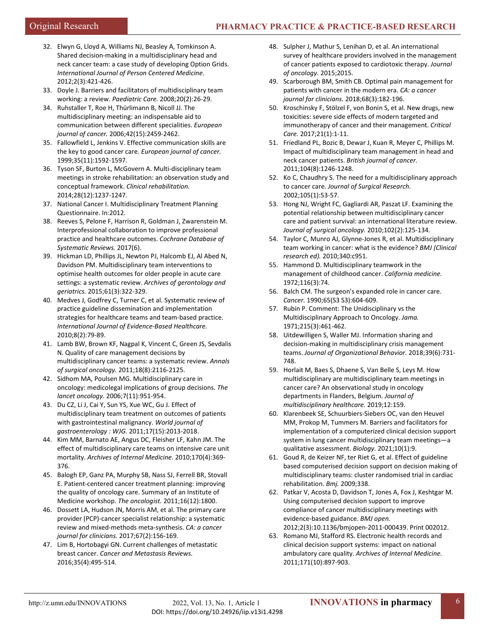- 32. Elwyn G, Lloyd A, Williams NJ, Beasley A, Tomkinson A. Shared decision-making in a multidisciplinary head and neck cancer team: a case study of developing Option Grids. *International Journal of Person Centered Medicine.*  2012;2(3):421-426.
- 33. Doyle J. Barriers and facilitators of multidisciplinary team working: a review. *Paediatric Care.* 2008;20(2):26-29.
- 34. Ruhstaller T, Roe H, Thürlimann B, Nicoll JJ. The multidisciplinary meeting: an indispensable aid to communication between different specialities. *European journal of cancer.* 2006;42(15):2459-2462.
- 35. Fallowfield L, Jenkins V. Effective communication skills are the key to good cancer care. *European journal of cancer.*  1999;35(11):1592-1597.
- 36. Tyson SF, Burton L, McGovern A. Multi-disciplinary team meetings in stroke rehabilitation: an observation study and conceptual framework. *Clinical rehabilitation.*  2014;28(12):1237-1247.
- 37. National Cancer I. Multidisciplinary Treatment Planning Questionnaire. In:2012.
- 38. Reeves S, Pelone F, Harrison R, Goldman J, Zwarenstein M. Interprofessional collaboration to improve professional practice and healthcare outcomes. *Cochrane Database of Systematic Reviews.* 2017(6).
- 39. Hickman LD, Phillips JL, Newton PJ, Halcomb EJ, Al Abed N, Davidson PM. Multidisciplinary team interventions to optimise health outcomes for older people in acute care settings: a systematic review. *Archives of gerontology and geriatrics.* 2015;61(3):322-329.
- 40. Medves J, Godfrey C, Turner C, et al. Systematic review of practice guideline dissemination and implementation strategies for healthcare teams and team-based practice. *International Journal of Evidence-Based Healthcare.*  2010;8(2):79-89.
- 41. Lamb BW, Brown KF, Nagpal K, Vincent C, Green JS, Sevdalis N. Quality of care management decisions by multidisciplinary cancer teams: a systematic review. *Annals of surgical oncology.* 2011;18(8):2116-2125.
- 42. Sidhom MA, Poulsen MG. Multidisciplinary care in oncology: medicolegal implications of group decisions. *The lancet oncology.* 2006;7(11):951-954.
- 43. Du CZ, Li J, Cai Y, Sun YS, Xue WC, Gu J. Effect of multidisciplinary team treatment on outcomes of patients with gastrointestinal malignancy. *World journal of gastroenterology : WJG.* 2011;17(15):2013-2018.
- 44. Kim MM, Barnato AE, Angus DC, Fleisher LF, Kahn JM. The effect of multidisciplinary care teams on intensive care unit mortality. *Archives of Internal Medicine.* 2010;170(4):369- 376.
- 45. Balogh EP, Ganz PA, Murphy SB, Nass SJ, Ferrell BR, Stovall E. Patient-centered cancer treatment planning: improving the quality of oncology care. Summary of an Institute of Medicine workshop. *The oncologist.* 2011;16(12):1800.
- 46. Dossett LA, Hudson JN, Morris AM, et al. The primary care provider (PCP)-cancer specialist relationship: a systematic review and mixed-methods meta-synthesis. *CA: a cancer journal for clinicians.* 2017;67(2):156-169.
- 47. Lim B, Hortobagyi GN. Current challenges of metastatic breast cancer. *Cancer and Metastasis Reviews.*  2016;35(4):495-514.
- 48. Sulpher J, Mathur S, Lenihan D, et al. An international survey of healthcare providers involved in the management of cancer patients exposed to cardiotoxic therapy. *Journal of oncology.* 2015;2015.
- 49. Scarborough BM, Smith CB. Optimal pain management for patients with cancer in the modern era. *CA: a cancer journal for clinicians.* 2018;68(3):182-196.
- 50. Kroschinsky F, Stölzel F, von Bonin S, et al. New drugs, new toxicities: severe side effects of modern targeted and immunotherapy of cancer and their management. *Critical Care.* 2017;21(1):1-11.
- 51. Friedland PL, Bozic B, Dewar J, Kuan R, Meyer C, Phillips M. Impact of multidisciplinary team management in head and neck cancer patients. *British journal of cancer.*  2011;104(8):1246-1248.
- 52. Ko C, Chaudhry S. The need for a multidisciplinary approach to cancer care. *Journal of Surgical Research.*  2002;105(1):53-57.
- 53. Hong NJ, Wright FC, Gagliardi AR, Paszat LF. Examining the potential relationship between multidisciplinary cancer care and patient survival: an international literature review. *Journal of surgical oncology.* 2010;102(2):125-134.
- 54. Taylor C, Munro AJ, Glynne-Jones R, et al. Multidisciplinary team working in cancer: what is the evidence? *BMJ (Clinical research ed).* 2010;340:c951.
- 55. Hammond D. Multidisciplinary teamwork in the management of childhood cancer. *California medicine.*  1972;116(3):74.
- 56. Balch CM. The surgeon's expanded role in cancer care. *Cancer.* 1990;65(S3 S3):604-609.
- 57. Rubin P. Comment: The Unidisciplinary vs the Multidisciplinary Approach to Oncology. *Jama.*  1971;215(3):461-462.
- 58. Uitdewilligen S, Waller MJ. Information sharing and decision-making in multidisciplinary crisis management teams. *Journal of Organizational Behavior.* 2018;39(6):731- 748.
- 59. Horlait M, Baes S, Dhaene S, Van Belle S, Leys M. How multidisciplinary are multidisciplinary team meetings in cancer care? An observational study in oncology departments in Flanders, Belgium. *Journal of multidisciplinary healthcare.* 2019;12:159.
- 60. Klarenbeek SE, Schuurbiers-Siebers OC, van den Heuvel MM, Prokop M, Tummers M. Barriers and facilitators for implementation of a computerized clinical decision support system in lung cancer multidisciplinary team meetings—a qualitative assessment. *Biology.* 2021;10(1):9.
- 61. Goud R, de Keizer NF, ter Riet G, et al. Effect of guideline based computerised decision support on decision making of multidisciplinary teams: cluster randomised trial in cardiac rehabilitation. *Bmj.* 2009;338.
- 62. Patkar V, Acosta D, Davidson T, Jones A, Fox J, Keshtgar M. Using computerised decision support to improve compliance of cancer multidisciplinary meetings with evidence-based guidance. *BMJ open.*  2012;2(3):10.1136/bmjopen-2011-000439. Print 002012.
- 63. Romano MJ, Stafford RS. Electronic health records and clinical decision support systems: impact on national ambulatory care quality. *Archives of Internal Medicine.*  2011;171(10):897-903.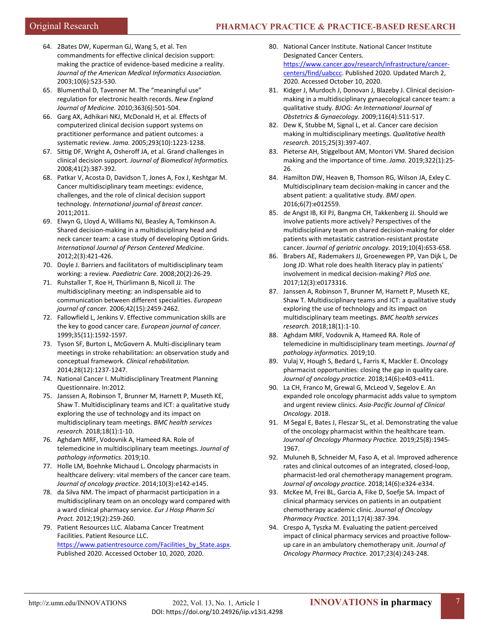- 64. 2Bates DW, Kuperman GJ, Wang S, et al. Ten commandments for effective clinical decision support: making the practice of evidence-based medicine a reality. *Journal of the American Medical Informatics Association.*  2003;10(6):523-530.
- 65. Blumenthal D, Tavenner M. The "meaningful use" regulation for electronic health records. *New England Journal of Medicine.* 2010;363(6):501-504.
- 66. Garg AX, Adhikari NKJ, McDonald H, et al. Effects of computerized clinical decision support systems on practitioner performance and patient outcomes: a systematic review. *Jama.* 2005;293(10):1223-1238.
- 67. Sittig DF, Wright A, Osheroff JA, et al. Grand challenges in clinical decision support. *Journal of Biomedical Informatics.*  2008;41(2):387-392.
- 68. Patkar V, Acosta D, Davidson T, Jones A, Fox J, Keshtgar M. Cancer multidisciplinary team meetings: evidence, challenges, and the role of clinical decision support technology. *International journal of breast cancer.*   $2011:2011$
- 69. Elwyn G, Lloyd A, Williams NJ, Beasley A, Tomkinson A. Shared decision-making in a multidisciplinary head and neck cancer team: a case study of developing Option Grids. *International Journal of Person Centered Medicine.*  2012;2(3):421-426.
- 70. Doyle J. Barriers and facilitators of multidisciplinary team working: a review. *Paediatric Care.* 2008;20(2):26-29.
- 71. Ruhstaller T, Roe H, Thürlimann B, Nicoll JJ. The multidisciplinary meeting: an indispensable aid to communication between different specialities. *European journal of cancer.* 2006;42(15):2459-2462.
- 72. Fallowfield L, Jenkins V. Effective communication skills are the key to good cancer care. *European journal of cancer.*  1999;35(11):1592-1597.
- 73. Tyson SF, Burton L, McGovern A. Multi-disciplinary team meetings in stroke rehabilitation: an observation study and conceptual framework. *Clinical rehabilitation.*  2014;28(12):1237-1247.
- 74. National Cancer I. Multidisciplinary Treatment Planning Questionnaire. In:2012.
- 75. Janssen A, Robinson T, Brunner M, Harnett P, Museth KE, Shaw T. Multidisciplinary teams and ICT: a qualitative study exploring the use of technology and its impact on multidisciplinary team meetings. *BMC health services research.* 2018;18(1):1-10.
- 76. Aghdam MRF, Vodovnik A, Hameed RA. Role of telemedicine in multidisciplinary team meetings. *Journal of pathology informatics.* 2019;10.
- 77. Holle LM, Boehnke Michaud L. Oncology pharmacists in healthcare delivery: vital members of the cancer care team. *Journal of oncology practice.* 2014;10(3):e142-e145.
- 78. da Silva NM. The impact of pharmacist participation in a multidisciplinary team on an oncology ward compared with a ward clinical pharmacy service. *Eur J Hosp Pharm Sci Pract.* 2012;19(2):259-260.
- 79. Patient Resources LLC. Alabama Cancer Treatment Facilities. Patient Resource LLC. https://www.patientresource.com/Facilities\_by\_State.aspx. Published 2020. Accessed October 10, 2020, 2020.
- 80. National Cancer Institute. National Cancer Institute Designated Cancer Centers. [https://www.cancer.gov/research/infrastructure/cancer](https://www.cancer.gov/research/infrastructure/cancer-centers/find/uabccc)[centers/find/uabccc.](https://www.cancer.gov/research/infrastructure/cancer-centers/find/uabccc) Published 2020. Updated March 2, 2020. Accessed October 10, 2020.
- 81. Kidger J, Murdoch J, Donovan J, Blazeby J. Clinical decisionmaking in a multidisciplinary gynaecological cancer team: a qualitative study. *BJOG: An International Journal of Obstetrics & Gynaecology.* 2009;116(4):511-517.
- 82. Dew K, Stubbe M, Signal L, et al. Cancer care decision making in multidisciplinary meetings. *Qualitative health research.* 2015;25(3):397-407.
- 83. Pieterse AH, Stiggelbout AM, Montori VM. Shared decision making and the importance of time. *Jama.* 2019;322(1):25- 26.
- 84. Hamilton DW, Heaven B, Thomson RG, Wilson JA, Exley C. Multidisciplinary team decision-making in cancer and the absent patient: a qualitative study. *BMJ open.*  2016;6(7):e012559.
- 85. de Angst IB, Kil PJ, Bangma CH, Takkenberg JJ. Should we involve patients more actively? Perspectives of the multidisciplinary team on shared decision-making for older patients with metastatic castration-resistant prostate cancer. *Journal of geriatric oncology.* 2019;10(4):653-658.
- 86. Brabers AE, Rademakers JJ, Groenewegen PP, Van Dijk L, De Jong JD. What role does health literacy play in patients' involvement in medical decision-making? *PloS one.*  2017;12(3):e0173316.
- 87. Janssen A, Robinson T, Brunner M, Harnett P, Museth KE, Shaw T. Multidisciplinary teams and ICT: a qualitative study exploring the use of technology and its impact on multidisciplinary team meetings. *BMC health services research.* 2018;18(1):1-10.
- 88. Aghdam MRF, Vodovnik A, Hameed RA. Role of telemedicine in multidisciplinary team meetings. *Journal of pathology informatics.* 2019;10.
- 89. Vulaj V, Hough S, Bedard L, Farris K, Mackler E. Oncology pharmacist opportunities: closing the gap in quality care. *Journal of oncology practice.* 2018;14(6):e403-e411.
- 90. La CH, Franco M, Grewal G, McLeod V, Segelov E. An expanded role oncology pharmacist adds value to symptom and urgent review clinics. *Asia-Pacific Journal of Clinical Oncology.* 2018.
- 91. M Segal E, Bates J, Fleszar SL, et al. Demonstrating the value of the oncology pharmacist within the healthcare team. *Journal of Oncology Pharmacy Practice.* 2019;25(8):1945- 1967.
- 92. Muluneh B, Schneider M, Faso A, et al. Improved adherence rates and clinical outcomes of an integrated, closed-loop, pharmacist-led oral chemotherapy management program. *Journal of oncology practice.* 2018;14(6):e324-e334.
- 93. McKee M, Frei BL, Garcia A, Fike D, Soefje SA. Impact of clinical pharmacy services on patients in an outpatient chemotherapy academic clinic. *Journal of Oncology Pharmacy Practice.* 2011;17(4):387-394.
- 94. Crespo A, Tyszka M. Evaluating the patient-perceived impact of clinical pharmacy services and proactive followup care in an ambulatory chemotherapy unit. *Journal of Oncology Pharmacy Practice.* 2017;23(4):243-248.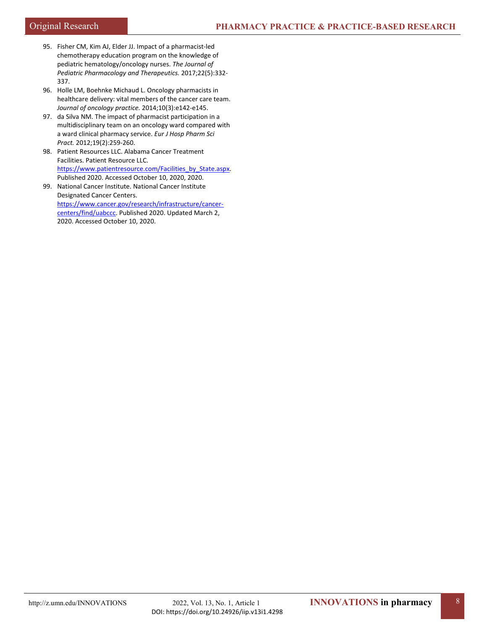- 95. Fisher CM, Kim AJ, Elder JJ. Impact of a pharmacist-led chemotherapy education program on the knowledge of pediatric hematology/oncology nurses. *The Journal of Pediatric Pharmacology and Therapeutics.* 2017;22(5):332- 337.
- 96. Holle LM, Boehnke Michaud L. Oncology pharmacists in healthcare delivery: vital members of the cancer care team. *Journal of oncology practice.* 2014;10(3):e142-e145.
- 97. da Silva NM. The impact of pharmacist participation in a multidisciplinary team on an oncology ward compared with a ward clinical pharmacy service. *Eur J Hosp Pharm Sci Pract.* 2012;19(2):259-260.
- 98. Patient Resources LLC. Alabama Cancer Treatment Facilities. Patient Resource LLC. https://www.patientresource.com/Facilities\_by\_State.aspx. Published 2020. Accessed October 10, 2020, 2020.
- 99. National Cancer Institute. National Cancer Institute Designated Cancer Centers. [https://www.cancer.gov/research/infrastructure/cancer](https://www.cancer.gov/research/infrastructure/cancer-centers/find/uabccc)[centers/find/uabccc.](https://www.cancer.gov/research/infrastructure/cancer-centers/find/uabccc) Published 2020. Updated March 2, 2020. Accessed October 10, 2020.

8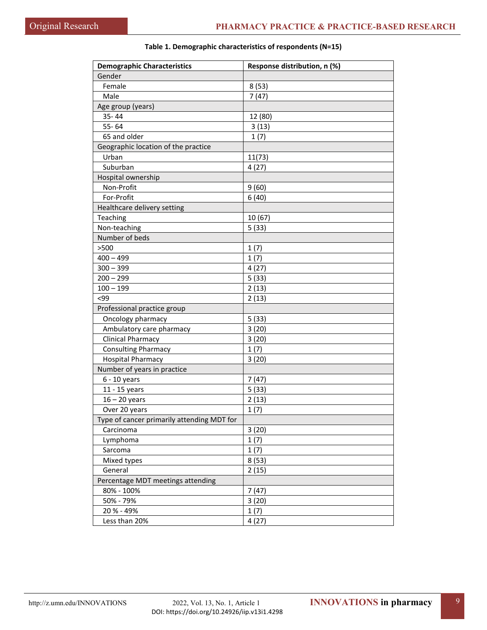| <b>Demographic Characteristics</b>         | Response distribution, n (%) |
|--------------------------------------------|------------------------------|
| Gender                                     |                              |
| Female                                     | 8(53)                        |
| Male                                       | 7(47)                        |
| Age group (years)                          |                              |
| 35-44                                      | 12 (80)                      |
| 55-64                                      | 3(13)                        |
| 65 and older                               | 1(7)                         |
| Geographic location of the practice        |                              |
| Urban                                      | 11(73)                       |
| Suburban                                   | 4(27)                        |
| Hospital ownership                         |                              |
| Non-Profit                                 | 9(60)                        |
| For-Profit                                 | 6(40)                        |
| Healthcare delivery setting                |                              |
| Teaching                                   | 10 (67)                      |
| Non-teaching                               | 5(33)                        |
| Number of beds                             |                              |
| >500                                       | 1(7)                         |
| $400 - 499$                                | 1(7)                         |
| $300 - 399$                                | 4(27)                        |
| $200 - 299$                                | 5(33)                        |
| $100 - 199$                                | 2(13)                        |
| < 99                                       | 2(13)                        |
| Professional practice group                |                              |
| Oncology pharmacy                          | 5(33)                        |
| Ambulatory care pharmacy                   | 3(20)                        |
| <b>Clinical Pharmacy</b>                   | 3(20)                        |
| <b>Consulting Pharmacy</b>                 | 1(7)                         |
| <b>Hospital Pharmacy</b>                   | 3(20)                        |
| Number of years in practice                |                              |
| $6 - 10$ years                             | 7(47)                        |
| 11 - 15 years                              | 5(33)                        |
| $16 - 20$ years                            | 2(13)                        |
| Over 20 years                              | 1(7)                         |
| Type of cancer primarily attending MDT for |                              |
| Carcinoma                                  | 3(20)                        |
| Lymphoma                                   | 1(7)                         |
| Sarcoma                                    | 1(7)                         |
| Mixed types                                | 8(53)                        |
| General                                    | 2(15)                        |
| Percentage MDT meetings attending          |                              |
| 80% - 100%                                 | 7(47)                        |
|                                            |                              |
| 50% - 79%                                  | 3(20)                        |
| 20 % - 49%                                 | 1(7)                         |
| Less than 20%                              | 4(27)                        |

# **Table 1. Demographic characteristics of respondents (N=15)**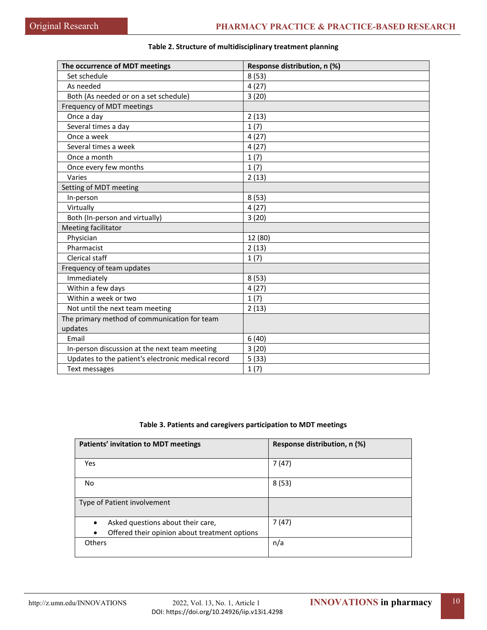| The occurrence of MDT meetings                     | Response distribution, n (%) |
|----------------------------------------------------|------------------------------|
| Set schedule                                       | 8(53)                        |
| As needed                                          | 4(27)                        |
| Both (As needed or on a set schedule)              | 3(20)                        |
| Frequency of MDT meetings                          |                              |
| Once a day                                         | 2(13)                        |
| Several times a day                                | 1(7)                         |
| Once a week                                        | 4(27)                        |
| Several times a week                               | 4(27)                        |
| Once a month                                       | 1(7)                         |
| Once every few months                              | 1(7)                         |
| Varies                                             | 2(13)                        |
| Setting of MDT meeting                             |                              |
| In-person                                          | 8(53)                        |
| Virtually                                          | 4(27)                        |
| Both (In-person and virtually)                     | 3(20)                        |
| Meeting facilitator                                |                              |
| Physician                                          | 12 (80)                      |
| Pharmacist                                         | 2(13)                        |
| Clerical staff                                     | 1(7)                         |
| Frequency of team updates                          |                              |
| Immediately                                        | 8(53)                        |
| Within a few days                                  | 4(27)                        |
| Within a week or two                               | 1(7)                         |
| Not until the next team meeting                    | 2(13)                        |
| The primary method of communication for team       |                              |
| updates                                            |                              |
| Email                                              | 6(40)                        |
| In-person discussion at the next team meeting      | 3(20)                        |
| Updates to the patient's electronic medical record | 5(33)                        |
| Text messages                                      | 1(7)                         |

## **Table 2. Structure of multidisciplinary treatment planning**

## **Table 3. Patients and caregivers participation to MDT meetings**

| <b>Patients' invitation to MDT meetings</b>                                                                  | Response distribution, n (%) |
|--------------------------------------------------------------------------------------------------------------|------------------------------|
| Yes                                                                                                          | 7(47)                        |
| No                                                                                                           | 8(53)                        |
| Type of Patient involvement                                                                                  |                              |
| Asked questions about their care,<br>$\bullet$<br>Offered their opinion about treatment options<br>$\bullet$ | 7(47)                        |
| Others                                                                                                       | n/a                          |